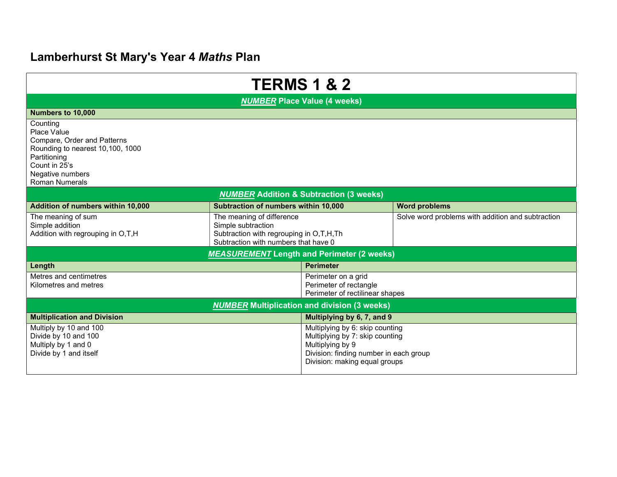# Lamberhurst St Mary's Year 4 Maths Plan

| <b>TERMS 1 &amp; 2</b>                                                                                                                                                   |                                                                                                                                    |                                                                                                                                                                   |                                                   |  |  |  |
|--------------------------------------------------------------------------------------------------------------------------------------------------------------------------|------------------------------------------------------------------------------------------------------------------------------------|-------------------------------------------------------------------------------------------------------------------------------------------------------------------|---------------------------------------------------|--|--|--|
| <b>NUMBER Place Value (4 weeks)</b>                                                                                                                                      |                                                                                                                                    |                                                                                                                                                                   |                                                   |  |  |  |
| Numbers to 10,000                                                                                                                                                        |                                                                                                                                    |                                                                                                                                                                   |                                                   |  |  |  |
| Counting<br>Place Value<br>Compare, Order and Patterns<br>Rounding to nearest 10,100, 1000<br>Partitioning<br>Count in 25's<br>Negative numbers<br><b>Roman Numerals</b> |                                                                                                                                    |                                                                                                                                                                   |                                                   |  |  |  |
| <b>NUMBER Addition &amp; Subtraction (3 weeks)</b>                                                                                                                       |                                                                                                                                    |                                                                                                                                                                   |                                                   |  |  |  |
| Addition of numbers within 10,000                                                                                                                                        | Subtraction of numbers within 10,000                                                                                               |                                                                                                                                                                   | <b>Word problems</b>                              |  |  |  |
| The meaning of sum<br>Simple addition<br>Addition with regrouping in O,T,H                                                                                               | The meaning of difference<br>Simple subtraction<br>Subtraction with regrouping in O,T,H,Th<br>Subtraction with numbers that have 0 |                                                                                                                                                                   | Solve word problems with addition and subtraction |  |  |  |
| <b>MEASUREMENT</b> Length and Perimeter (2 weeks)                                                                                                                        |                                                                                                                                    |                                                                                                                                                                   |                                                   |  |  |  |
| Length                                                                                                                                                                   |                                                                                                                                    | <b>Perimeter</b>                                                                                                                                                  |                                                   |  |  |  |
| Metres and centimetres<br>Kilometres and metres                                                                                                                          |                                                                                                                                    | Perimeter on a grid<br>Perimeter of rectangle<br>Perimeter of rectilinear shapes                                                                                  |                                                   |  |  |  |
| <b>NUMBER</b> Multiplication and division (3 weeks)                                                                                                                      |                                                                                                                                    |                                                                                                                                                                   |                                                   |  |  |  |
| <b>Multiplication and Division</b>                                                                                                                                       |                                                                                                                                    | Multiplying by 6, 7, and 9                                                                                                                                        |                                                   |  |  |  |
| Multiply by 10 and 100<br>Divide by 10 and 100<br>Multiply by 1 and 0<br>Divide by 1 and itself                                                                          |                                                                                                                                    | Multiplying by 6: skip counting<br>Multiplying by 7: skip counting<br>Multiplying by 9<br>Division: finding number in each group<br>Division: making equal groups |                                                   |  |  |  |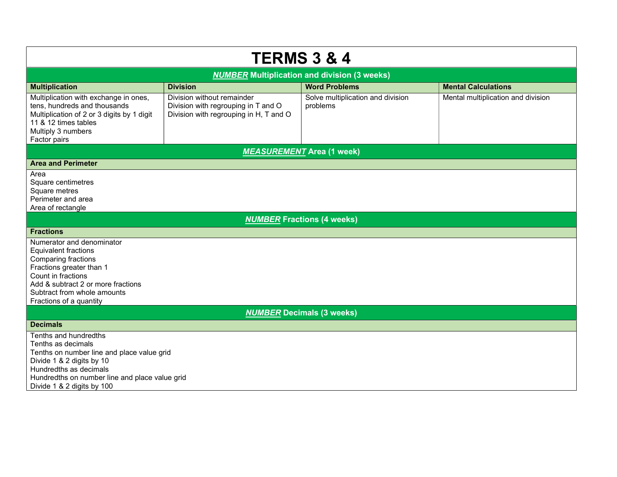| <b>TERMS 3 &amp; 4</b>                                                                                                                                                                                                            |                                                                                                             |                                               |                                    |  |  |  |
|-----------------------------------------------------------------------------------------------------------------------------------------------------------------------------------------------------------------------------------|-------------------------------------------------------------------------------------------------------------|-----------------------------------------------|------------------------------------|--|--|--|
| <b>NUMBER Multiplication and division (3 weeks)</b>                                                                                                                                                                               |                                                                                                             |                                               |                                    |  |  |  |
| <b>Multiplication</b>                                                                                                                                                                                                             | <b>Division</b>                                                                                             | <b>Word Problems</b>                          | <b>Mental Calculations</b>         |  |  |  |
| Multiplication with exchange in ones,<br>tens, hundreds and thousands<br>Multiplication of 2 or 3 digits by 1 digit<br>11 & 12 times tables<br>Multiply 3 numbers<br>Factor pairs                                                 | Division without remainder<br>Division with regrouping in T and O<br>Division with regrouping in H, T and O | Solve multiplication and division<br>problems | Mental multiplication and division |  |  |  |
| <b>MEASUREMENT</b> Area (1 week)                                                                                                                                                                                                  |                                                                                                             |                                               |                                    |  |  |  |
| <b>Area and Perimeter</b>                                                                                                                                                                                                         |                                                                                                             |                                               |                                    |  |  |  |
| Area<br>Square centimetres<br>Square metres<br>Perimeter and area<br>Area of rectangle                                                                                                                                            |                                                                                                             |                                               |                                    |  |  |  |
| <b>NUMBER Fractions (4 weeks)</b>                                                                                                                                                                                                 |                                                                                                             |                                               |                                    |  |  |  |
| <b>Fractions</b>                                                                                                                                                                                                                  |                                                                                                             |                                               |                                    |  |  |  |
| Numerator and denominator<br><b>Equivalent fractions</b><br>Comparing fractions<br>Fractions greater than 1<br>Count in fractions<br>Add & subtract 2 or more fractions<br>Subtract from whole amounts<br>Fractions of a quantity |                                                                                                             |                                               |                                    |  |  |  |
| <b>NUMBER Decimals (3 weeks)</b>                                                                                                                                                                                                  |                                                                                                             |                                               |                                    |  |  |  |
| <b>Decimals</b>                                                                                                                                                                                                                   |                                                                                                             |                                               |                                    |  |  |  |
| Tenths and hundredths<br>Tenths as decimals<br>Tenths on number line and place value grid<br>Divide 1 & 2 digits by 10<br>Hundredths as decimals<br>Hundredths on number line and place value grid<br>Divide 1 & 2 digits by 100  |                                                                                                             |                                               |                                    |  |  |  |